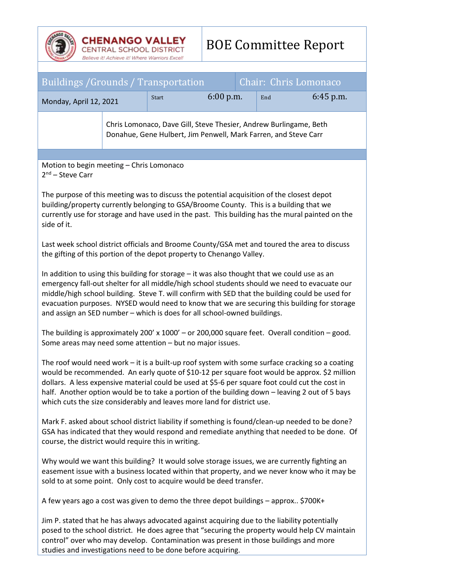| <b>CHENANGO VALLEY</b><br><b>CENTRAL SCHOOL DISTRICT</b><br>Believe it! Achieve it! Where Warriors Excel!                                                                                                                                                                                                                                                                                                                                                                       |  | <b>BOE Committee Report</b> |             |                       |     |             |
|---------------------------------------------------------------------------------------------------------------------------------------------------------------------------------------------------------------------------------------------------------------------------------------------------------------------------------------------------------------------------------------------------------------------------------------------------------------------------------|--|-----------------------------|-------------|-----------------------|-----|-------------|
|                                                                                                                                                                                                                                                                                                                                                                                                                                                                                 |  |                             |             |                       |     |             |
| <b>Buildings / Grounds / Transportation</b>                                                                                                                                                                                                                                                                                                                                                                                                                                     |  |                             |             | Chair: Chris Lomonaco |     |             |
| Monday, April 12, 2021                                                                                                                                                                                                                                                                                                                                                                                                                                                          |  | Start                       | $6:00$ p.m. |                       | End | $6:45$ p.m. |
| Chris Lomonaco, Dave Gill, Steve Thesier, Andrew Burlingame, Beth<br>Donahue, Gene Hulbert, Jim Penwell, Mark Farren, and Steve Carr                                                                                                                                                                                                                                                                                                                                            |  |                             |             |                       |     |             |
| Motion to begin meeting - Chris Lomonaco                                                                                                                                                                                                                                                                                                                                                                                                                                        |  |                             |             |                       |     |             |
| $2nd$ – Steve Carr<br>The purpose of this meeting was to discuss the potential acquisition of the closest depot<br>building/property currently belonging to GSA/Broome County. This is a building that we<br>currently use for storage and have used in the past. This building has the mural painted on the<br>side of it.                                                                                                                                                     |  |                             |             |                       |     |             |
| Last week school district officials and Broome County/GSA met and toured the area to discuss<br>the gifting of this portion of the depot property to Chenango Valley.                                                                                                                                                                                                                                                                                                           |  |                             |             |                       |     |             |
| In addition to using this building for storage – it was also thought that we could use as an<br>emergency fall-out shelter for all middle/high school students should we need to evacuate our<br>middle/high school building. Steve T. will confirm with SED that the building could be used for<br>evacuation purposes. NYSED would need to know that we are securing this building for storage<br>and assign an SED number - which is does for all school-owned buildings.    |  |                             |             |                       |     |             |
| The building is approximately 200' x 1000' - or 200,000 square feet. Overall condition - good.<br>Some areas may need some attention - but no major issues.                                                                                                                                                                                                                                                                                                                     |  |                             |             |                       |     |             |
| The roof would need work - it is a built-up roof system with some surface cracking so a coating<br>would be recommended. An early quote of \$10-12 per square foot would be approx. \$2 million<br>dollars. A less expensive material could be used at \$5-6 per square foot could cut the cost in<br>half. Another option would be to take a portion of the building down - leaving 2 out of 5 bays<br>which cuts the size considerably and leaves more land for district use. |  |                             |             |                       |     |             |
| Mark F. asked about school district liability if something is found/clean-up needed to be done?<br>GSA has indicated that they would respond and remediate anything that needed to be done. Of<br>course, the district would require this in writing.                                                                                                                                                                                                                           |  |                             |             |                       |     |             |
| Why would we want this building? It would solve storage issues, we are currently fighting an<br>easement issue with a business located within that property, and we never know who it may be<br>sold to at some point. Only cost to acquire would be deed transfer.                                                                                                                                                                                                             |  |                             |             |                       |     |             |
| A few years ago a cost was given to demo the three depot buildings - approx \$700K+                                                                                                                                                                                                                                                                                                                                                                                             |  |                             |             |                       |     |             |
| Jim P. stated that he has always advocated against acquiring due to the liability potentially<br>posed to the school district. He does agree that "securing the property would help CV maintain<br>control" over who may develop. Contamination was present in those buildings and more<br>studies and investigations need to be done before acquiring.                                                                                                                         |  |                             |             |                       |     |             |